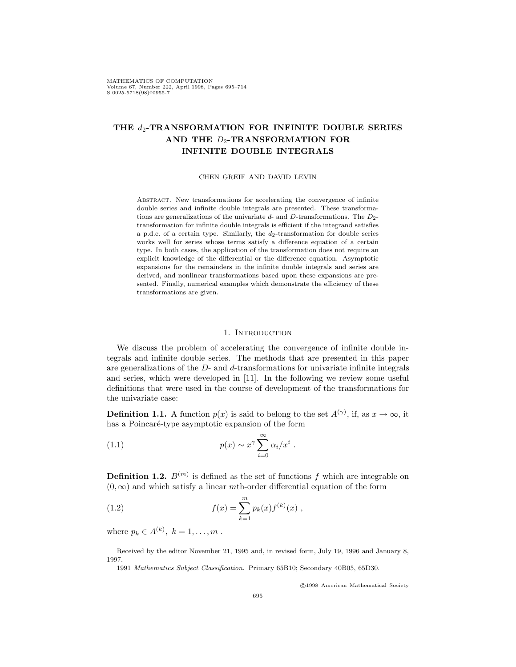MATHEMATICS OF COMPUTATION Volume 67, Number 222, April 1998, Pages 695-714  $S$  0025-5718(98)00955-7

# **THE** *d*2**-TRANSFORMATION FOR INFINITE DOUBLE SERIES AND THE** *D*2**-TRANSFORMATION FOR INFINITE DOUBLE INTEGRALS**

#### CHEN GREIF AND DAVID LEVIN

Abstract. New transformations for accelerating the convergence of infinite double series and infinite double integrals are presented. These transformations are generalizations of the univariate *d*- and *D*-transformations. The *D*<sub>2</sub>transformation for infinite double integrals is efficient if the integrand satisfies a p.d.e. of a certain type. Similarly, the *<sup>d</sup>*2-transformation for double series works well for series whose terms satisfy a difference equation of a certain type. In both cases, the application of the transformation does not require an explicit knowledge of the differential or the difference equation. Asymptotic expansions for the remainders in the infinite double integrals and series are derived, and nonlinear transformations based upon these expansions are presented. Finally, numerical examples which demonstrate the efficiency of these transformations are given.

#### 1. INTRODUCTION

We discuss the problem of accelerating the convergence of infinite double integrals and infinite double series. The methods that are presented in this paper are generalizations of the *D*- and *d*-transformations for univariate infinite integrals and series, which were developed in [11]. In the following we review some useful definitions that were used in the course of development of the transformations for the univariate case:

**Definition 1.1.** A function  $p(x)$  is said to belong to the set  $A^{(\gamma)}$ , if, as  $x \to \infty$ , it has a Poincaré-type asymptotic expansion of the form

(1.1) 
$$
p(x) \sim x^{\gamma} \sum_{i=0}^{\infty} \alpha_i/x^i.
$$

**Definition 1.2.**  $B^{(m)}$  is defined as the set of functions  $f$  which are integrable on  $(0, \infty)$  and which satisfy a linear *m*th-order differential equation of the form

(1.2) 
$$
f(x) = \sum_{k=1}^{m} p_k(x) f^{(k)}(x) ,
$$

where  $p_k \in A^{(k)}$ ,  $k = 1, ..., m$ .

<sup>c</sup> 1998 American Mathematical Society

Received by the editor November 21, 1995 and, in revised form, July 19, 1996 and January 8, 1997.

<sup>1991</sup> Mathematics Subject Classification. Primary 65B10; Secondary 40B05, 65D30.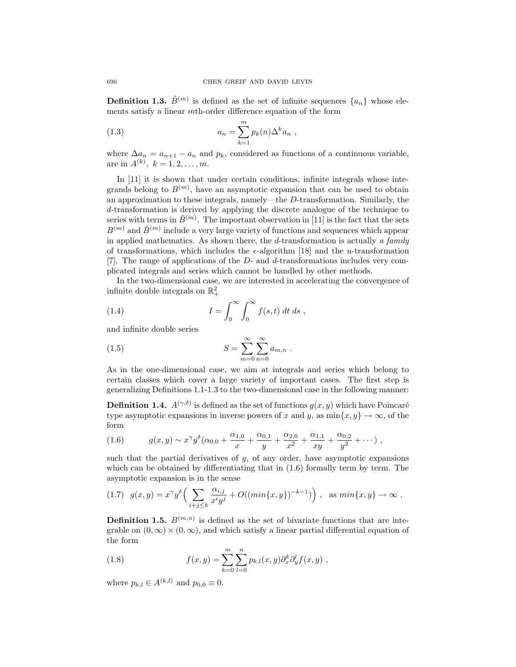**Definition 1.3.**  $\tilde{B}^{(m)}$  is defined as the set of infinite sequences  $\{a_n\}$  whose elements satisfy a linear *m*th-order difference equation of the form

(1.3) 
$$
a_n = \sum_{k=1}^m p_k(n) \Delta^k a_n,
$$

where  $\Delta a_n = a_{n+1} - a_n$  and  $p_k$ , considered as functions of a continuous variable, are in  $A^{(k)}$ ,  $k = 1, 2, ..., m$ .

In [11] it is shown that under certain conditions, infinite integrals whose integrands belong to  $B^{(m)}$ , have an asymptotic expansion that can be used to obtain an approximation to these integrals, namely—the *D*-transformation. Similarly, the *d*-transformation is derived by applying the discrete analogue of the technique to series with terms in  $\tilde{B}^{(m)}$ . The important observation in [11] is the fact that the sets  $B^{(m)}$  and  $\tilde{B}^{(m)}$  include a very large variety of functions and sequences which appear in applied mathematics. As shown there, the *d*-transformation is actually *a family* of transformations, which includes the  $\epsilon$ -algorithm [18] and the *u*-transformation [7]. The range of applications of the *D*- and *d*-transformations includes very complicated integrals and series which cannot be handled by other methods.

In the two-dimensional case, we are interested in accelerating the convergence of infinite double integrals on  $\mathbb{R}^2_+$ 

(1.4) 
$$
I = \int_0^\infty \int_0^\infty f(s, t) dt ds,
$$

and infinite double series

(1.5) 
$$
S = \sum_{m=0}^{\infty} \sum_{n=0}^{\infty} a_{m,n} .
$$

As in the one-dimensional case, we aim at integrals and series which belong to certain classes which cover a large variety of important cases. The first step is generalizing Definitions 1.1-1.3 to the two-dimensional case in the following manner:

**Definition 1.4.**  $A^{(\gamma,\delta)}$  is defined as the set of functions  $g(x, y)$  which have Poincaré type asymptotic expansions in inverse powers of *x* and *y*, as  $\min\{x, y\} \to \infty$ , of the form

(1.6) 
$$
g(x,y) \sim x^{\gamma} y^{\delta} (\alpha_{0,0} + \frac{\alpha_{1,0}}{x} + \frac{\alpha_{0,1}}{y} + \frac{\alpha_{2,0}}{x^2} + \frac{\alpha_{1,1}}{xy} + \frac{\alpha_{0,2}}{y^2} + \cdots),
$$

such that the partial derivatives of *g*, of any order, have asymptotic expansions which can be obtained by differentiating that in  $(1.6)$  formally term by term. The asymptotic expansion is in the sense

$$
(1.7) \quad g(x,y) = x^{\gamma}y^{\delta}\Big(\sum_{i+j\leq k}\frac{\alpha_{i,j}}{x^iy^j} + O((\min\{x,y\})^{-k-1})\Big) , \quad \text{as } \min\{x,y\} \to \infty .
$$

**Definition 1.5.**  $B^{(m,n)}$  is defined as the set of bivariate functions that are integrable on  $(0, \infty) \times (0, \infty)$ , and which satisfy a linear partial differential equation of the form

(1.8) 
$$
f(x,y) = \sum_{k=0}^{m} \sum_{l=0}^{n} p_{k,l}(x,y) \partial_x^k \partial_y^l f(x,y) ,
$$

where  $p_{k,l} \in A^{(k,l)}$  and  $p_{0,0} \equiv 0$ .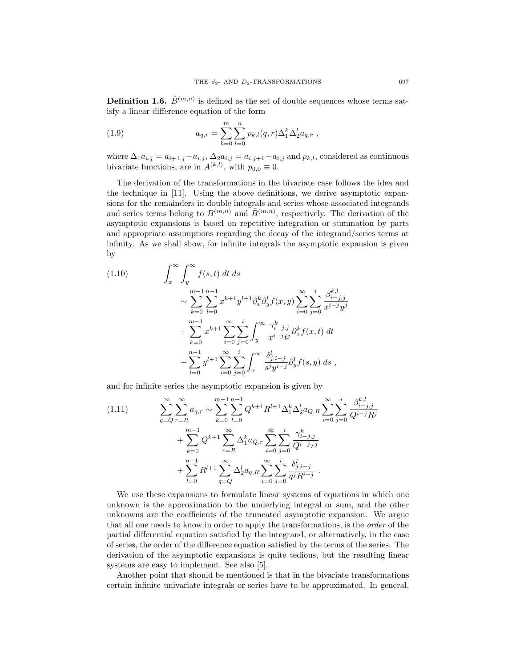**Definition 1.6.**  $\tilde{B}^{(m,n)}$  is defined as the set of double sequences whose terms satisfy a linear difference equation of the form

(1.9) 
$$
a_{q,r} = \sum_{k=0}^{m} \sum_{l=0}^{n} p_{k,l}(q,r) \Delta_1^k \Delta_2^l a_{q,r} ,
$$

where  $\Delta_1 a_{i,j} = a_{i+1,j} - a_{i,j}$ ,  $\Delta_2 a_{i,j} = a_{i,j+1} - a_{i,j}$  and  $p_{k,l}$ , considered as continuous bivariate functions, are in  $A^{(k,l)}$ , with  $p_{0,0} \equiv 0$ .

The derivation of the transformations in the bivariate case follows the idea and the technique in [11]. Using the above definitions, we derive asymptotic expansions for the remainders in double integrals and series whose associated integrands and series terms belong to  $B^{(m,n)}$  and  $\tilde{B}^{(m,n)}$ , respectively. The derivation of the asymptotic expansions is based on repetitive integration or summation by parts and appropriate assumptions regarding the decay of the integrand/series terms at infinity. As we shall show, for infinite integrals the asymptotic expansion is given by

(1.10) 
$$
\int_{x}^{\infty} \int_{y}^{\infty} f(s, t) dt ds
$$

$$
\sim \sum_{k=0}^{m-1} \sum_{l=0}^{n-1} x^{k+1} y^{l+1} \partial_{x}^{k} \partial_{y}^{l} f(x, y) \sum_{i=0}^{\infty} \sum_{j=0}^{i} \frac{\beta_{i-j,j}^{k,l}}{x^{i-j} y^{j}}
$$

$$
+ \sum_{k=0}^{m-1} x^{k+1} \sum_{i=0}^{\infty} \sum_{j=0}^{i} \int_{y}^{\infty} \frac{\gamma_{i-j,j}^{k}}{x^{i-j} t^{j}} \partial_{x}^{k} f(x, t) dt
$$

$$
+ \sum_{l=0}^{n-1} y^{l+1} \sum_{i=0}^{\infty} \sum_{j=0}^{i} \int_{x}^{\infty} \frac{\delta_{j,i-j}^{l}}{s^{j} y^{i-j}} \partial_{y}^{l} f(s, y) ds,
$$

and for infinite series the asymptotic expansion is given by

$$
(1.11) \qquad \sum_{q=Q}^{\infty} \sum_{r=R}^{\infty} a_{q,r} \sim \sum_{k=0}^{m-1} \sum_{l=0}^{n-1} Q^{k+1} R^{l+1} \Delta_1^k \Delta_2^l a_{Q,R} \sum_{i=0}^{\infty} \sum_{j=0}^i \frac{\beta_{i-j,j}^{k,l}}{Q^{i-j} R^j} + \sum_{k=0}^{m-1} Q^{k+1} \sum_{r=R}^{\infty} \Delta_1^k a_{Q,r} \sum_{i=0}^{\infty} \sum_{j=0}^i \frac{\gamma_{i-j,j}^k}{Q^{i-j} r^j} + \sum_{l=0}^{n-1} R^{l+1} \sum_{q=Q}^{\infty} \Delta_2^l a_{q,R} \sum_{i=0}^{\infty} \sum_{j=0}^i \frac{\delta_{j,i-j}^l}{q^j R^{i-j}}.
$$

We use these expansions to formulate linear systems of equations in which one unknown is the approximation to the underlying integral or sum, and the other unknowns are the coefficients of the truncated asymptotic expansion. We argue that all one needs to know in order to apply the transformations, is the *order* of the partial differential equation satisfied by the integrand, or alternatively, in the case of series, the order of the difference equation satisfied by the terms of the series. The derivation of the asymptotic expansions is quite tedious, but the resulting linear systems are easy to implement. See also [5].

Another point that should be mentioned is that in the bivariate transformations certain infinite univariate integrals or series have to be approximated. In general,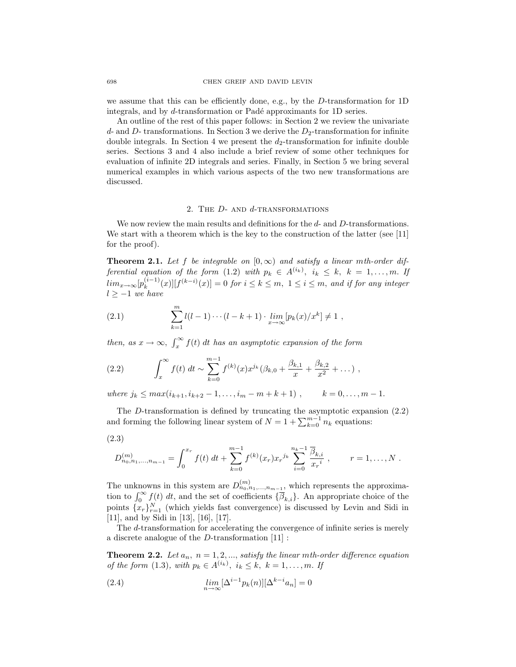we assume that this can be efficiently done, e.g., by the *D*-transformation for 1D integrals, and by *d*-transformation or Padé approximants for 1D series.

An outline of the rest of this paper follows: in Section 2 we review the univariate *d*- and *D*- transformations. In Section 3 we derive the *D*2-transformation for infinite double integrals. In Section 4 we present the  $d_2$ -transformation for infinite double series. Sections 3 and 4 also include a brief review of some other techniques for evaluation of infinite 2D integrals and series. Finally, in Section 5 we bring several numerical examples in which various aspects of the two new transformations are discussed.

## 2. The *D*- and *d*-transformations

We now review the main results and definitions for the *d*- and *D*-transformations. We start with a theorem which is the key to the construction of the latter (see [11] for the proof).

**Theorem 2.1.** Let f be integrable on  $[0, \infty)$  and satisfy a linear *m*th-order dif*ferential equation of the form* (1.2) *with*  $p_k \in A^{(i_k)}$ ,  $i_k \leq k$ ,  $k = 1, \ldots, m$ . If  $\lim_{x\to\infty} [p_k^{(i-1)}(x)][f^{(k-i)}(x)] = 0$  for  $i \leq k \leq m$ ,  $1 \leq i \leq m$ , and if for any integer *l ≥ −*1 *we have*

(2.1) 
$$
\sum_{k=1}^{m} l(l-1)\cdots(l-k+1) \cdot \lim_{x\to\infty} [p_k(x)/x^k] \neq 1,
$$

*then, as*  $x \to \infty$ ,  $\int_x^{\infty} f(t) dt$  *has an asymptotic expansion of the form* 

(2.2) 
$$
\int_x^{\infty} f(t) dt \sim \sum_{k=0}^{m-1} f^{(k)}(x) x^{j_k} (\beta_{k,0} + \frac{\beta_{k,1}}{x} + \frac{\beta_{k,2}}{x^2} + \dots) ,
$$

*where*  $j_k \leq max(i_{k+1}, i_{k+2} - 1, \ldots, i_m - m + k + 1)$ ,  $k = 0, \ldots, m - 1$ .

The *D*-transformation is defined by truncating the asymptotic expansion (2.2) and forming the following linear system of  $N = 1 + \sum_{k=0}^{m-1} n_k$  equations:

$$
(2.3)
$$

$$
D_{n_0,n_1,...,n_{m-1}}^{(m)} = \int_0^{x_r} f(t) dt + \sum_{k=0}^{m-1} f^{(k)}(x_r) x_r^{j_k} \sum_{i=0}^{n_k-1} \frac{\overline{\beta}_{k,i}}{x_r^i} , \qquad r = 1,...,N.
$$

The unknowns in this system are  $D_{n_0,n_1,...,n_{m-1}}^{(m)}$ , which represents the approximation to  $\int_0^\infty f(t) dt$ , and the set of coefficients  ${\overline{\beta}_{k,i}}$ . An appropriate choice of the points  ${x_r}_{r=1}^N$  (which yields fast convergence) is discussed by Levin and Sidi in [11], and by Sidi in [13], [16], [17].

The *d*-transformation for accelerating the convergence of infinite series is merely a discrete analogue of the *D*-transformation [11] :

**Theorem 2.2.** Let  $a_n$ ,  $n = 1, 2, \ldots$ , satisfy the linear mth-order difference equation *of the form* (1.3), with  $p_k \in A^{(i_k)}$ ,  $i_k \leq k$ ,  $k = 1, ..., m$ . If

(2.4) 
$$
\lim_{n \to \infty} [\Delta^{i-1} p_k(n)][\Delta^{k-i} a_n] = 0
$$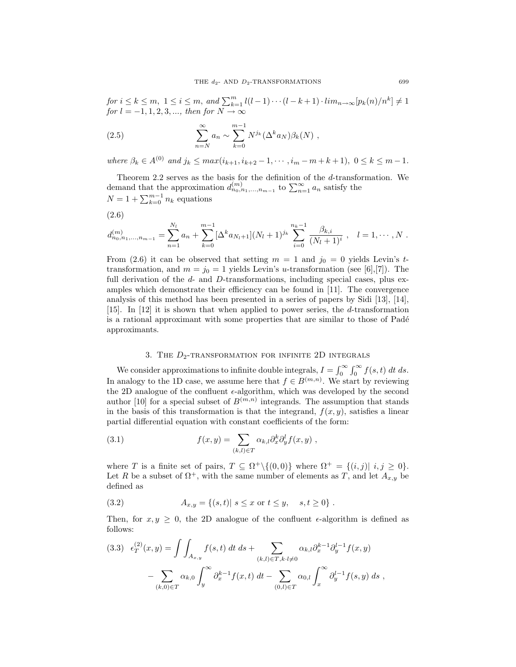for  $i \leq k \leq m$ ,  $1 \leq i \leq m$ , and  $\sum_{k=1}^{m} l(l-1) \cdots (l-k+1) \cdot \lim_{n \to \infty} [p_k(n)/n^k] \neq 1$  $for l = -1, 1, 2, 3, \ldots, then for N \to \infty$ 

(2.5) 
$$
\sum_{n=N}^{\infty} a_n \sim \sum_{k=0}^{m-1} N^{j_k} (\Delta^k a_N) \beta_k(N) ,
$$

where  $\beta_k \in A^{(0)}$  and  $j_k \leq max(i_{k+1}, i_{k+2}-1, \cdots, i_m-m+k+1), 0 \leq k \leq m-1.$ 

Theorem 2.2 serves as the basis for the definition of the *d*-transformation. We demand that the approximation  $d_{n_0,n_1,...,n_{m-1}}^{(m)}$  to  $\sum_{n=1}^{\infty} a_n$  satisfy the  $N = 1 + \sum_{k=0}^{m-1} n_k$  equations

$$
(2.6)
$$

$$
d_{n_0,n_1,\dots,n_{m-1}}^{(m)} = \sum_{n=1}^{N_l} a_n + \sum_{k=0}^{m-1} [\Delta^k a_{N_l+1}] (N_l+1)^{j_k} \sum_{i=0}^{n_k-1} \frac{\beta_{k,i}}{(N_l+1)^i} , \quad l=1,\cdots,N.
$$

From (2.6) it can be observed that setting  $m = 1$  and  $j_0 = 0$  yields Levin's ttransformation, and  $m = j_0 = 1$  yields Levin's *u*-transformation (see [6],[7]). The full derivation of the *d*- and *D*-transformations, including special cases, plus examples which demonstrate their efficiency can be found in [11]. The convergence analysis of this method has been presented in a series of papers by Sidi [13], [14], [15]. In [12] it is shown that when applied to power series, the *d*-transformation is a rational approximant with some properties that are similar to those of Padé approximants.

## 3. THE  $D_2$ -TRANSFORMATION FOR INFINITE 2D INTEGRALS

We consider approximations to infinite double integrals,  $I = \int_0^\infty \int_0^\infty f(s, t) dt ds$ . In analogy to the 1D case, we assume here that  $f \in B^{(m,n)}$ . We start by reviewing the 2D analogue of the confluent  $\epsilon$ -algorithm, which was developed by the second author [10] for a special subset of  $B^{(m,n)}$  integrands. The assumption that stands in the basis of this transformation is that the integrand,  $f(x, y)$ , satisfies a linear partial differential equation with constant coefficients of the form:

(3.1) 
$$
f(x,y) = \sum_{(k,l)\in T} \alpha_{k,l} \partial_x^k \partial_y^l f(x,y) ,
$$

where *T* is a finite set of pairs,  $T \subseteq \Omega^+ \setminus \{(0,0)\}$  where  $\Omega^+ = \{(i,j) | i,j \geq 0\}$ . Let *R* be a subset of  $\Omega^+$ , with the same number of elements as *T*, and let  $A_{x,y}$  be defined as

(3.2) 
$$
A_{x,y} = \{(s,t) | s \le x \text{ or } t \le y, s, t \ge 0\}.
$$

Then, for  $x, y \geq 0$ , the 2D analogue of the confluent  $\epsilon$ -algorithm is defined as follows:

$$
(3.3) \epsilon_T^{(2)}(x,y) = \int \int_{A_{x,y}} f(s,t) dt ds + \sum_{(k,l) \in T, k \cdot l \neq 0} \alpha_{k,l} \partial_x^{k-1} \partial_y^{l-1} f(x,y)
$$

$$
- \sum_{(k,0) \in T} \alpha_{k,0} \int_y^{\infty} \partial_x^{k-1} f(x,t) dt - \sum_{(0,l) \in T} \alpha_{0,l} \int_x^{\infty} \partial_y^{l-1} f(s,y) ds,
$$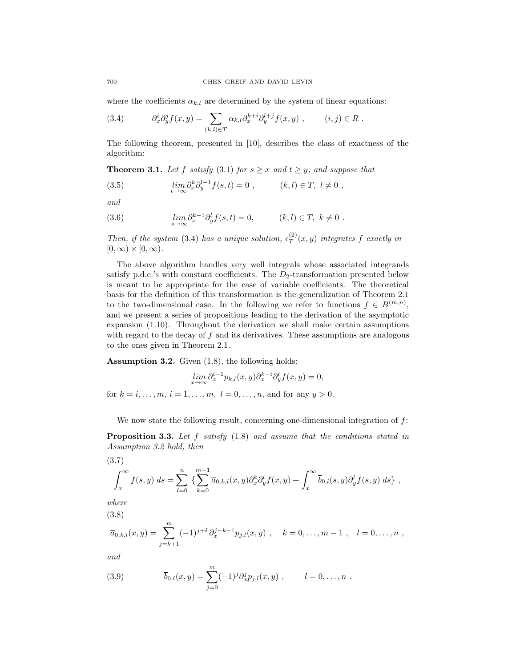where the coefficients  $\alpha_{k,l}$  are determined by the system of linear equations:

(3.4) 
$$
\partial_x^i \partial_y^j f(x, y) = \sum_{(k,l) \in T} \alpha_{k,l} \partial_x^{k+i} \partial_y^{l+j} f(x, y) , \qquad (i, j) \in R .
$$

The following theorem, presented in [10], describes the class of exactness of the algorithm:

**Theorem 3.1.** *Let*  $f$  *satisfy* (3.1) *for*  $s \geq x$  *and*  $t \geq y$ *, and suppose that* 

(3.5) 
$$
\lim_{t \to \infty} \partial_x^k \partial_y^{l-1} f(s,t) = 0 , \qquad (k,l) \in T, \ l \neq 0 ,
$$

*and*

(3.6) 
$$
\lim_{s \to \infty} \partial_x^{k-1} \partial_y^l f(s, t) = 0, \qquad (k, l) \in T, \ k \neq 0.
$$

*Then, if the system* (3.4) *has a unique solution,*  $\epsilon_T^{(2)}(x, y)$  *integrates f exactly in*  $[0, \infty) \times [0, \infty)$ .

The above algorithm handles very well integrals whose associated integrands satisfy p.d.e.'s with constant coefficients. The  $D_2$ -transformation presented below is meant to be appropriate for the case of variable coefficients. The theoretical basis for the definition of this transformation is the generalization of Theorem 2.1 to the two-dimensional case. In the following we refer to functions  $f \in B^{(m,n)}$ , and we present a series of propositions leading to the derivation of the asymptotic expansion (1.10). Throughout the derivation we shall make certain assumptions with regard to the decay of *f* and its derivatives. These assumptions are analogous to the ones given in Theorem 2.1.

**Assumption 3.2.** Given (1.8), the following holds:

$$
\lim_{x \to \infty} \partial_x^{i-1} p_{k,l}(x, y) \partial_x^{k-i} \partial_y^l f(x, y) = 0,
$$

for  $k = i, \ldots, m, i = 1, \ldots, m, l = 0, \ldots, n$ , and for any  $y > 0$ .

We now state the following result, concerning one-dimensional integration of *f*:

**Proposition 3.3.** *Let f satisfy* (1.8) *and assume that the conditions stated in Assumption 3.2 hold, then*

$$
(3.7)
$$

$$
\int_x^{\infty} f(s,y) \, ds = \sum_{l=0}^n \left\{ \sum_{k=0}^{m-1} \overline{a}_{0,k,l}(x,y) \partial_x^k \partial_y^l f(x,y) + \int_x^{\infty} \overline{b}_{0,l}(s,y) \partial_y^l f(s,y) \, ds \right\} \,,
$$

*where* (3.8)

$$
\overline{a}_{0,k,l}(x,y) = \sum_{j=k+1}^m (-1)^{j+k} \partial_x^{j-k-1} p_{j,l}(x,y) , \quad k = 0, \ldots, m-1 , \quad l = 0, \ldots, n ,
$$

*and*

(3.9) 
$$
\overline{b}_{0,l}(x,y) = \sum_{j=0}^{m} (-1)^j \partial_x^j p_{j,l}(x,y) , \qquad l = 0, \ldots, n .
$$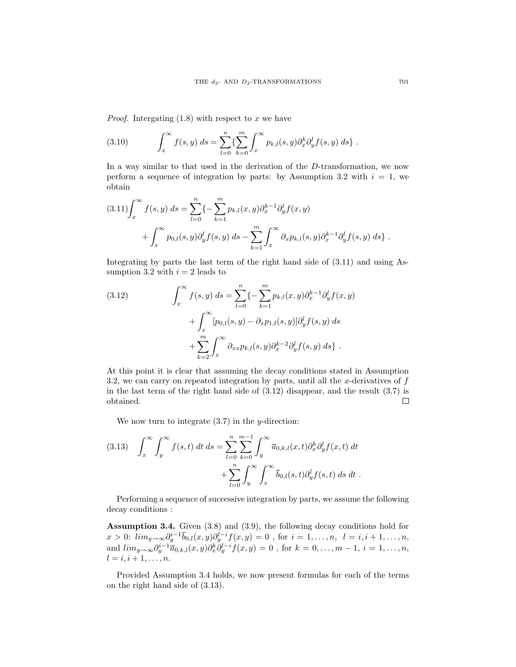*Proof.* Intergating (1.8) with respect to *x* we have

(3.10) 
$$
\int_x^{\infty} f(s, y) ds = \sum_{l=0}^n \left\{ \sum_{k=0}^m \int_x^{\infty} p_{k,l}(s, y) \partial_x^k \partial_y^l f(s, y) ds \right\}.
$$

In a way similar to that used in the derivation of the *D*-transformation, we now perform a sequence of integration by parts: by Assumption 3.2 with  $i = 1$ , we obtain

$$
(3.11)\n\int_{x}^{\infty} f(s, y) \, ds = \sum_{l=0}^{n} \left\{ -\sum_{k=1}^{m} p_{k,l}(x, y) \partial_{x}^{k-1} \partial_{y}^{l} f(x, y) \right. \\
\left. + \int_{x}^{\infty} p_{0,l}(s, y) \partial_{y}^{l} f(s, y) \, ds - \sum_{k=1}^{m} \int_{x}^{\infty} \partial_{x} p_{k,l}(s, y) \partial_{x}^{k-1} \partial_{y}^{l} f(s, y) \, ds \right\}.
$$

Integrating by parts the last term of the right hand side of (3.11) and using Assumption 3.2 with  $i = 2$  leads to

(3.12) 
$$
\int_{x}^{\infty} f(s, y) ds = \sum_{l=0}^{n} \{-\sum_{k=1}^{m} p_{k,l}(x, y) \partial_{x}^{k-1} \partial_{y}^{l} f(x, y) + \int_{x}^{\infty} [p_{0,l}(s, y) - \partial_{x} p_{1,l}(s, y)] \partial_{y}^{l} f(s, y) ds + \sum_{k=2}^{m} \int_{x}^{\infty} \partial_{xx} p_{k,l}(s, y) \partial_{x}^{k-2} \partial_{y}^{l} f(s, y) ds \}.
$$

At this point it is clear that assuming the decay conditions stated in Assumption 3.2, we can carry on repeated integration by parts, until all the *x*-derivatives of *f* in the last term of the right hand side of (3.12) disappear, and the result (3.7) is obtained. □

We now turn to integrate (3.7) in the *y*-direction:

(3.13) 
$$
\int_x^{\infty} \int_y^{\infty} f(s,t) dt ds = \sum_{l=0}^{n} \sum_{k=0}^{m-1} \int_y^{\infty} \overline{a}_{0,k,l}(x,t) \partial_x^k \partial_y^l f(x,t) dt + \sum_{l=0}^{n} \int_y^{\infty} \int_x^{\infty} \overline{b}_{0,l}(s,t) \partial_y^l f(s,t) ds dt.
$$

Performing a sequence of successive integration by parts, we assume the following decay conditions :

**Assumption 3.4.** Given (3.8) and (3.9), the following decay conditions hold for  $x > 0$ :  $\lim_{y \to \infty} \partial_y^{i-1} \overline{b}_{0,l}(x,y) \partial_y^{l-i} f(x,y) = 0$ , for  $i = 1, ..., n$ ,  $l = i, i + 1, ..., n$ , and  $\lim_{y\to\infty}\partial_y^{i-1}\overline{a}_{0,k,l}(x,y)\partial_x^k\overline{\partial}_y^{l-i}f(x,y)=0$ , for  $k=0,\ldots,m-1$ ,  $i=1,\ldots,n$ ,  $l = i, i + 1, \ldots, n.$ 

Provided Assumption 3.4 holds, we now present formulas for each of the terms on the right hand side of (3.13).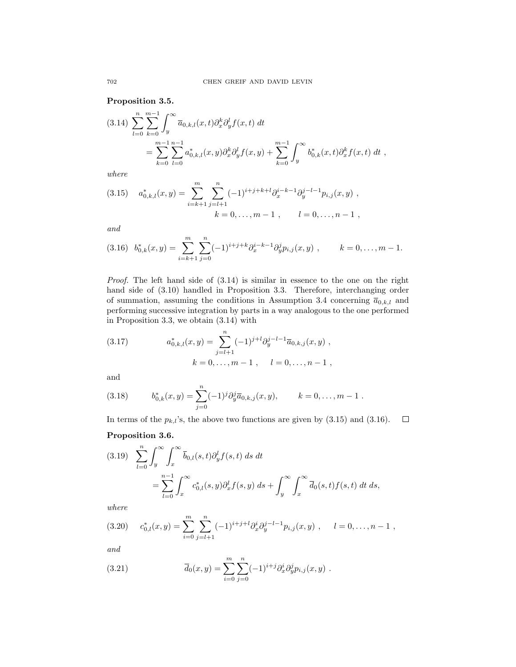**Proposition 3.5.**

$$
(3.14) \sum_{l=0}^{n} \sum_{k=0}^{m-1} \int_{y}^{\infty} \overline{a}_{0,k,l}(x,t) \partial_{x}^{k} \partial_{y}^{l} f(x,t) dt
$$
  
= 
$$
\sum_{k=0}^{m-1} \sum_{l=0}^{n-1} a_{0,k,l}^{*}(x,y) \partial_{x}^{k} \partial_{y}^{l} f(x,y) + \sum_{k=0}^{m-1} \int_{y}^{\infty} b_{0,k}^{*}(x,t) \partial_{x}^{k} f(x,t) dt
$$
,

*where*

(3.15) 
$$
a_{0,k,l}^{*}(x,y) = \sum_{i=k+1}^{m} \sum_{j=l+1}^{n} (-1)^{i+j+k+l} \partial_x^{i-k-1} \partial_y^{j-l-1} p_{i,j}(x,y) ,
$$
  
\n
$$
k = 0, \dots, m-1 , \qquad l = 0, \dots, n-1 ,
$$

*and*

$$
(3.16) \ b_{0,k}^*(x,y) = \sum_{i=k+1}^m \sum_{j=0}^n (-1)^{i+j+k} \partial_x^{i-k-1} \partial_y^j p_{i,j}(x,y) , \qquad k = 0, \ldots, m-1.
$$

*Proof.* The left hand side of (3.14) is similar in essence to the one on the right hand side of (3.10) handled in Proposition 3.3. Therefore, interchanging order of summation, assuming the conditions in Assumption 3.4 concerning  $\overline{a}_{0,k,l}$  and performing successive integration by parts in a way analogous to the one performed in Proposition 3.3, we obtain (3.14) with

(3.17) 
$$
a_{0,k,l}^{*}(x,y) = \sum_{j=l+1}^{n} (-1)^{j+l} \partial_{y}^{j-l-1} \overline{a}_{0,k,j}(x,y) ,
$$

$$
k = 0, \ldots, m-1 , \quad l = 0, \ldots, n-1 ,
$$

and

(3.18) 
$$
b_{0,k}^*(x,y) = \sum_{j=0}^n (-1)^j \partial_y^j \overline{a}_{0,k,j}(x,y), \qquad k = 0,\ldots, m-1.
$$

In terms of the  $p_{k,l}$ 's, the above two functions are given by  $(3.15)$  and  $(3.16)$ .  $\Box$ 

# **Proposition 3.6.**

$$
(3.19) \sum_{l=0}^{n} \int_{y}^{\infty} \int_{x}^{\infty} \overline{b}_{0,l}(s,t) \partial_{y}^{l} f(s,t) ds dt
$$
  
= 
$$
\sum_{l=0}^{n-1} \int_{x}^{\infty} c_{0,l}^{*}(s,y) \partial_{x}^{l} f(s,y) ds + \int_{y}^{\infty} \int_{x}^{\infty} \overline{d}_{0}(s,t) f(s,t) dt ds,
$$

*where*

$$
(3.20) \t c_{0,l}^*(x,y) = \sum_{i=0}^m \sum_{j=l+1}^n (-1)^{i+j+l} \partial_x^i \partial_y^{j-l-1} p_{i,j}(x,y) , \t l = 0, \ldots, n-1 ,
$$

*and*

(3.21) 
$$
\overline{d}_0(x,y) = \sum_{i=0}^m \sum_{j=0}^n (-1)^{i+j} \partial_x^i \partial_y^j p_{i,j}(x,y) .
$$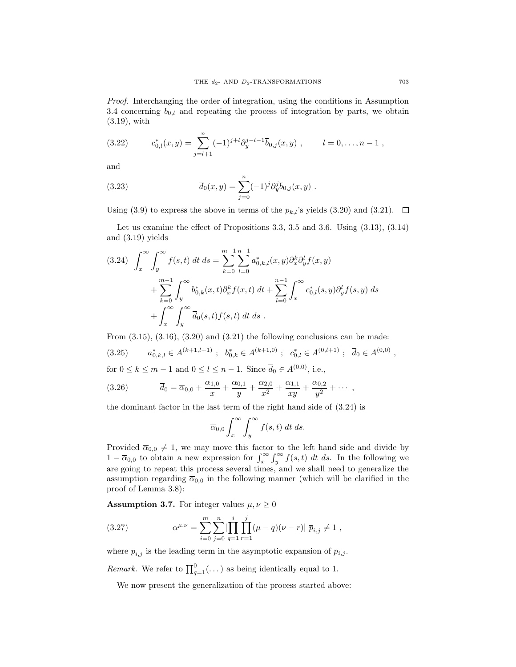*Proof.* Interchanging the order of integration, using the conditions in Assumption 3.4 concerning  $\overline{b}_{0,l}$  and repeating the process of integration by parts, we obtain (3.19), with

(3.22) 
$$
c_{0,l}^*(x,y) = \sum_{j=l+1}^n (-1)^{j+l} \partial_y^{j-l-1} \overline{b}_{0,j}(x,y) , \qquad l = 0, \ldots, n-1 ,
$$

and

(3.23) 
$$
\overline{d}_0(x,y) = \sum_{j=0}^n (-1)^j \partial_y^j \overline{b}_{0,j}(x,y) .
$$

Using (3.9) to express the above in terms of the  $p_{k,l}$ 's yields (3.20) and (3.21).  $\Box$ 

Let us examine the effect of Propositions 3.3, 3.5 and 3.6. Using (3.13), (3.14) and (3.19) yields

$$
(3.24) \quad \int_{x}^{\infty} \int_{y}^{\infty} f(s,t) \, dt \, ds = \sum_{k=0}^{m-1} \sum_{l=0}^{n-1} a_{0,k,l}^{*}(x,y) \partial_{x}^{k} \partial_{y}^{l} f(x,y) + \sum_{k=0}^{m-1} \int_{y}^{\infty} b_{0,k}^{*}(x,t) \partial_{x}^{k} f(x,t) \, dt + \sum_{l=0}^{n-1} \int_{x}^{\infty} c_{0,l}^{*}(s,y) \partial_{y}^{l} f(s,y) \, ds + \int_{x}^{\infty} \int_{y}^{\infty} \overline{d}_{0}(s,t) f(s,t) \, dt \, ds .
$$

From  $(3.15)$ ,  $(3.16)$ ,  $(3.20)$  and  $(3.21)$  the following conclusions can be made: (3.25)  $a_{0,k,l}^* \in A^{(k+1,l+1)}$ ;  $b_{0,k}^* \in A^{(k+1,0)}$ ;  $c_{0,l}^* \in A^{(0,l+1)}$ ;  $\overline{d}_0 \in A^{(0,0)}$ , for  $0 \le k \le m - 1$  and  $0 \le l \le n - 1$ . Since  $\overline{d}_0 \in A^{(0,0)}$ , i.e.,

(3.26) 
$$
\overline{d}_0 = \overline{\alpha}_{0,0} + \frac{\overline{\alpha}_{1,0}}{x} + \frac{\overline{\alpha}_{0,1}}{y} + \frac{\overline{\alpha}_{2,0}}{x^2} + \frac{\overline{\alpha}_{1,1}}{xy} + \frac{\overline{\alpha}_{0,2}}{y^2} + \cdots,
$$

the dominant factor in the last term of the right hand side of (3.24) is

$$
\overline{\alpha}_{0,0} \int_x^{\infty} \int_y^{\infty} f(s,t) dt ds.
$$

Provided  $\overline{\alpha}_{0,0} \neq 1$ , we may move this factor to the left hand side and divide by 1 −  $\overline{\alpha}_{0,0}$  to obtain a new expression for  $\int_x^{\infty} \int_y^{\infty} f(s,t) dt ds$ . In the following we are going to repeat this process several times, and we shall need to generalize the assumption regarding  $\overline{\alpha}_{0,0}$  in the following manner (which will be clarified in the proof of Lemma 3.8):

**Assumption 3.7.** For integer values  $\mu, \nu \geq 0$ 

(3.27) 
$$
\alpha^{\mu,\nu} = \sum_{i=0}^{m} \sum_{j=0}^{n} \left[ \prod_{q=1}^{i} \prod_{r=1}^{j} (\mu - q)(\nu - r) \right] \overline{p}_{i,j} \neq 1,
$$

where  $\overline{p}_{i,j}$  is the leading term in the asymptotic expansion of  $p_{i,j}$ .

*Remark.* We refer to  $\prod_{q=1}^{0}$  (...) as being identically equal to 1.

We now present the generalization of the process started above: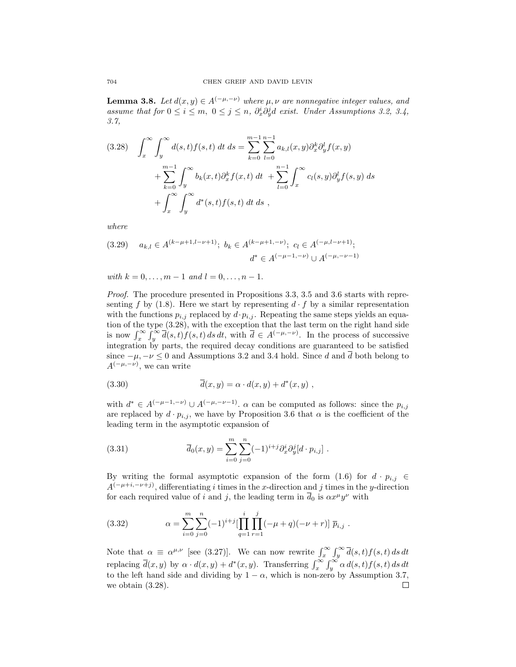**Lemma 3.8.** *Let*  $d(x, y) \in A^{(-\mu, -\nu)}$  *where*  $\mu, \nu$  *are nonnegative integer values, and assume that for*  $0 \le i \le m$ ,  $0 \le j \le n$ ,  $\partial_x^i \partial_y^j d$  *exist. Under Assumptions 3.2, 3.4, 3.7,*

$$
(3.28) \quad \int_{x}^{\infty} \int_{y}^{\infty} d(s,t) f(s,t) dt ds = \sum_{k=0}^{m-1} \sum_{l=0}^{n-1} a_{k,l}(x,y) \partial_{x}^{k} \partial_{y}^{l} f(x,y) + \sum_{k=0}^{m-1} \int_{y}^{\infty} b_{k}(x,t) \partial_{x}^{k} f(x,t) dt + \sum_{l=0}^{n-1} \int_{x}^{\infty} c_{l}(s,y) \partial_{y}^{l} f(s,y) ds + \int_{x}^{\infty} \int_{y}^{\infty} d^{*}(s,t) f(s,t) dt ds,
$$

*where*

$$
(3.29) \quad a_{k,l} \in A^{(k-\mu+1,l-\nu+1)}; \ b_k \in A^{(k-\mu+1,-\nu)}; \ c_l \in A^{(-\mu,l-\nu+1)}; \n d^* \in A^{(-\mu-1,-\nu)} \cup A^{(-\mu,-\nu-1)}
$$

 $with \, k = 0, \ldots, m - 1 \, and \, l = 0, \ldots, n - 1.$ 

*Proof.* The procedure presented in Propositions 3.3, 3.5 and 3.6 starts with representing *f* by (1.8). Here we start by representing  $d \cdot f$  by a similar representation with the functions  $p_{i,j}$  replaced by  $d \cdot p_{i,j}$ . Repeating the same steps yields an equation of the type (3.28), with the exception that the last term on the right hand side is now  $\int_x^{\infty} \int_y^{\infty} \overline{d}(s,t) f(s,t) ds dt$ , with  $\overline{d} \in A^{(-\mu,-\nu)}$ . In the process of successive integration by parts, the required decay conditions are guaranteed to be satisfied since  $-\mu$ ,  $-\nu \leq 0$  and Assumptions 3.2 and 3.4 hold. Since *d* and  $\overline{d}$  both belong to  $A^{(-\mu,-\nu)}$ , we can write

(3.30) 
$$
\overline{d}(x,y) = \alpha \cdot d(x,y) + d^*(x,y) ,
$$

with  $d^* \in A^{(-\mu-1,-\nu)} \cup A^{(-\mu,-\nu-1)}$ .  $\alpha$  can be computed as follows: since the  $p_{i,j}$ are replaced by  $d \cdot p_{i,j}$ , we have by Proposition 3.6 that  $\alpha$  is the coefficient of the leading term in the asymptotic expansion of

(3.31) 
$$
\overline{d}_0(x,y) = \sum_{i=0}^m \sum_{j=0}^n (-1)^{i+j} \partial_x^i \partial_y^j [d \cdot p_{i,j}].
$$

By writing the formal asymptotic expansion of the form  $(1.6)$  for  $d \cdot p_{i,j} \in$  $A^{(-\mu+i,-\nu+j)}$ , differentiating *i* times in the *x*-direction and *j* times in the *y*-direction for each required value of *i* and *j*, the leading term in  $\overline{d}_0$  is  $\alpha x^{\mu}y^{\nu}$  with

(3.32) 
$$
\alpha = \sum_{i=0}^{m} \sum_{j=0}^{n} (-1)^{i+j} \left[ \prod_{q=1}^{i} \prod_{r=1}^{j} (-\mu + q)(-\nu + r) \right] \overline{p}_{i,j} .
$$

Note that  $\alpha \equiv \alpha^{\mu,\nu}$  [see (3.27)]. We can now rewrite  $\int_x^{\infty} \int_y^{\infty} \overline{d}(s,t) f(s,t) ds dt$ replacing  $\overline{d}(x, y)$  by  $\alpha \cdot d(x, y) + d^*(x, y)$ . Transferring  $\int_x^{\infty} \int_y^{\infty} \alpha d(s, t) f(s, t) ds dt$ to the left hand side and dividing by  $1 - \alpha$ , which is non-zero by Assumption 3.7, we obtain (3.28). $\Box$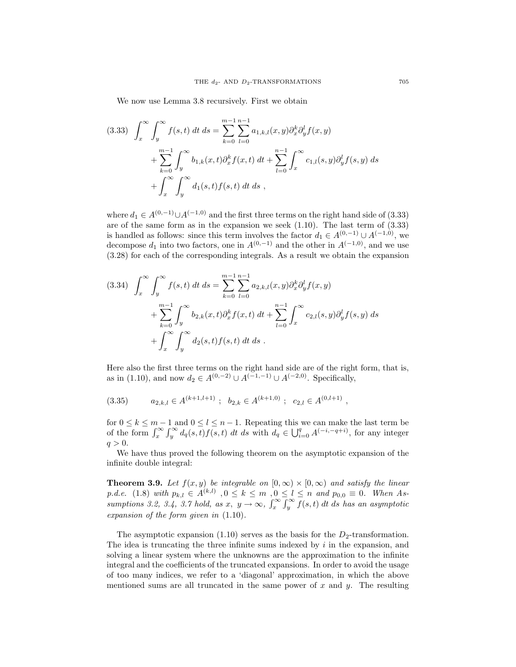We now use Lemma 3.8 recursively. First we obtain

$$
(3.33) \int_x^{\infty} \int_y^{\infty} f(s,t) dt ds = \sum_{k=0}^{m-1} \sum_{l=0}^{n-1} a_{1,k,l}(x,y) \partial_x^k \partial_y^l f(x,y)
$$
  
+ 
$$
\sum_{k=0}^{m-1} \int_y^{\infty} b_{1,k}(x,t) \partial_x^k f(x,t) dt + \sum_{l=0}^{n-1} \int_x^{\infty} c_{1,l}(s,y) \partial_y^l f(s,y) ds
$$
  
+ 
$$
\int_x^{\infty} \int_y^{\infty} d_1(s,t) f(s,t) dt ds,
$$

where  $d_1 \in A^{(0,-1)} \cup A^{(-1,0)}$  and the first three terms on the right hand side of (3.33) are of the same form as in the expansion we seek  $(1.10)$ . The last term of  $(3.33)$ is handled as follows: since this term involves the factor  $d_1 \in A^{(0,-1)} \cup A^{(-1,0)}$ , we decompose  $d_1$  into two factors, one in  $A^{(0,-1)}$  and the other in  $A^{(-1,0)}$ , and we use (3.28) for each of the corresponding integrals. As a result we obtain the expansion

$$
(3.34) \quad \int_{x}^{\infty} \int_{y}^{\infty} f(s,t) \, dt \, ds = \sum_{k=0}^{m-1} \sum_{l=0}^{n-1} a_{2,k,l}(x,y) \partial_{x}^{k} \partial_{y}^{l} f(x,y) + \sum_{k=0}^{m-1} \int_{y}^{\infty} b_{2,k}(x,t) \partial_{x}^{k} f(x,t) \, dt + \sum_{l=0}^{n-1} \int_{x}^{\infty} c_{2,l}(s,y) \partial_{y}^{l} f(s,y) \, ds + \int_{x}^{\infty} \int_{y}^{\infty} d_{2}(s,t) f(s,t) \, dt \, ds .
$$

Here also the first three terms on the right hand side are of the right form, that is, as in (1.10), and now  $d_2 \in A^{(0,-2)} \cup A^{(-1,-1)} \cup A^{(-2,0)}$ . Specifically,

$$
(3.35) \t a_{2,k,l} \in A^{(k+1,l+1)}; b_{2,k} \in A^{(k+1,0)}; c_{2,l} \in A^{(0,l+1)},
$$

for  $0 \leq k \leq m-1$  and  $0 \leq l \leq n-1$ . Repeating this we can make the last term be of the form  $\int_x^{\infty} \int_y^{\infty} d_q(s,t) f(s,t) dt ds$  with  $d_q \in \bigcup_{i=0}^q A^{(-i,-q+i)}$ , for any integer  $q > 0$ .

We have thus proved the following theorem on the asymptotic expansion of the infinite double integral:

**Theorem 3.9.** *Let*  $f(x, y)$  *be integrable on*  $[0, \infty) \times [0, \infty)$  *and satisfy the linear* p.d.e. (1.8) with  $p_{k,l} \in A^{(k,l)}$ ,  $0 \le k \le m$ ,  $0 \le l \le n$  and  $p_{0,0} \equiv 0$ . When As*sumptions 3.2, 3.4, 3.7 hold, as*  $x, y \to \infty$ ,  $\int_x^{\infty} \int_y^{\infty} f(s,t) dt ds$  *has an asymptotic expansion of the form given in* (1.10)*.*

The asymptotic expansion  $(1.10)$  serves as the basis for the  $D_2$ -transformation. The idea is truncating the three infinite sums indexed by *i* in the expansion, and solving a linear system where the unknowns are the approximation to the infinite integral and the coefficients of the truncated expansions. In order to avoid the usage of too many indices, we refer to a 'diagonal' approximation, in which the above mentioned sums are all truncated in the same power of *x* and *y*. The resulting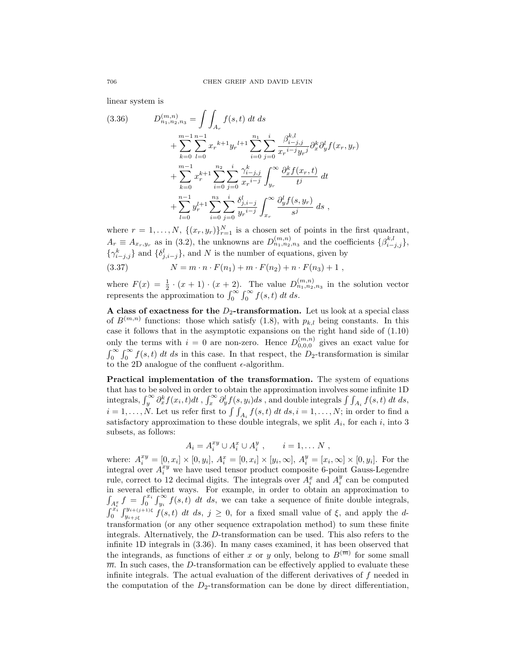linear system is

$$
(3.36) \tD_{n_1,n_2,n_3}^{(m,n)} = \int \int_{A_r} f(s,t) dt ds + \sum_{k=0}^{m-1} \sum_{l=0}^{n-1} x_r^{k+1} y_r^{l+1} \sum_{i=0}^{n_1} \sum_{j=0}^i \frac{\beta_{i-j,j}^{k,l}}{x_r^{i-j} y_r^j} \partial_x^k \partial_y^l f(x_r, y_r) + \sum_{k=0}^{m-1} x_r^{k+1} \sum_{i=0}^{n_2} \sum_{j=0}^i \frac{\gamma_{i-j,j}^k}{x_r^{i-j}} \int_{y_r}^{\infty} \frac{\partial_x^k f(x_r, t)}{t^j} dt + \sum_{l=0}^{n-1} y_r^{l+1} \sum_{i=0}^{n_3} \sum_{j=0}^i \frac{\delta_{j,i-j}^l}{y_r^{i-j}} \int_{x_r}^{\infty} \frac{\partial_y^l f(s, y_r)}{s^j} ds ,
$$

where  $r = 1, \ldots, N$ ,  $\{(x_r, y_r)\}_{r=1}^N$  is a chosen set of points in the first quadrant,  $A_r \equiv A_{x_r,y_r}$  as in (3.2), the unknowns are  $D_{n_1,n_2,n_3}^{(m,n)}$  and the coefficients  $\{\beta_{i-j,j}^{k,l}\},$  $\{\gamma_{i-j,j}^k\}$  and  $\{\delta_{j,i-j}^l\}$ , and *N* is the number of equations, given by

(3.37) 
$$
N = m \cdot n \cdot F(n_1) + m \cdot F(n_2) + n \cdot F(n_3) + 1,
$$

where  $F(x) = \frac{1}{2} \cdot (x+1) \cdot (x+2)$ . The value  $D_{n_1,n_2,n_3}^{(m,n)}$  in the solution vector represents the approximation to  $\int_0^\infty \int_0^\infty f(s,t) dt ds$ .

**A** class of exactness for the  $D_2$ -transformation. Let us look at a special class of  $B^{(m,n)}$  functions: those which satisfy (1.8), with  $p_{k,l}$  being constants. In this case it follows that in the asymptotic expansions on the right hand side of (1.10) only the terms with  $i = 0$  are non-zero. Hence  $D_{0,0,0}^{(m,n)}$  gives an exact value for  $\int_0^\infty \int_0^\infty f(s,t) dt ds$  in this case. In that respect, the *D*<sub>2</sub>-transformation is similar to the 2D analogue of the confluent  $\epsilon$ -algorithm.

**Practical implementation of the transformation.** The system of equations that has to be solved in order to obtain the approximation involves some infinite 1D integrals,  $\int_y^{\infty} \partial_x^k f(x_i, t) dt$ ,  $\int_x^{\infty} \partial_y^l f(s, y_i) ds$ , and double integrals  $\int_{A_i} f(s, t) dt ds$ ,  $i = 1, \ldots, N$ . Let us refer first to  $\int \int_{A_i} f(s, t) dt ds, i = 1, \ldots, N$ ; in order to find a satisfactory approximation to these double integrals, we split  $A_i$ , for each  $i$ , into 3 subsets, as follows:

$$
A_i = A_i^{xy} \cup A_i^x \cup A_i^y , \qquad i = 1, \dots N ,
$$

where:  $A_i^{xy} = [0, x_i] \times [0, y_i]$ ,  $A_i^{x} = [0, x_i] \times [y_i, \infty]$ ,  $A_i^{y} = [x_i, \infty] \times [0, y_i]$ . For the integral over  $A_i^{xy}$  we have used tensor product composite 6-point Gauss-Legendre rule, correct to 12 decimal digits. The integrals over  $A_i^x$  and  $A_i^y$  can be computed in several efficient ways. For example, in order to obtain an approximation to  $\int_{A_i^x} f = \int_0^{x_i} \int_{y_i}^{\infty} f(s,t) dt ds$ , we can take a sequence of finite double integrals,  $\int_0^{x_i} \int_{y_{i+j\xi}}^{y_{i+(j+1)\xi}} f(s,t) dt ds, j \ge 0$ , for a fixed small value of  $\xi$ , and apply the *d*transformation (or any other sequence extrapolation method) to sum these finite integrals. Alternatively, the *D*-transformation can be used. This also refers to the infinite 1D integrals in (3.36). In many cases examined, it has been observed that the integrands, as functions of either *x* or *y* only, belong to  $B^{(\overline{m})}$  for some small  $\overline{m}$ . In such cases, the *D*-transformation can be effectively applied to evaluate these infinite integrals. The actual evaluation of the different derivatives of *f* needed in the computation of the  $D_2$ -transformation can be done by direct differentiation,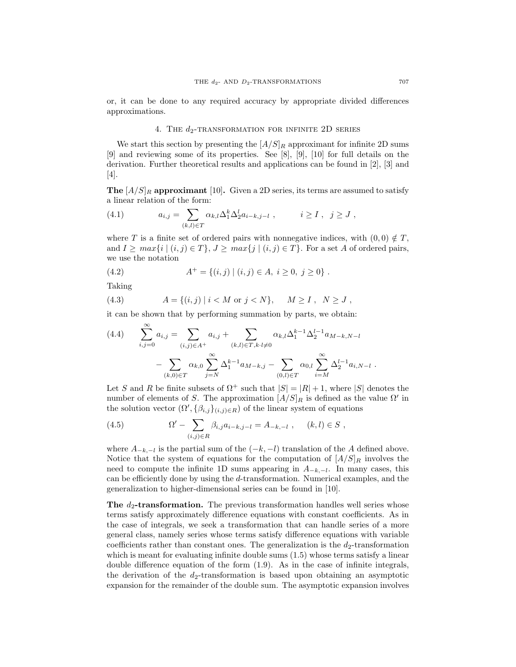or, it can be done to any required accuracy by appropriate divided differences approximations.

# 4. THE  $d_2$ -TRANSFORMATION FOR INFINITE 2D SERIES

We start this section by presenting the  $[A/S]_R$  approximant for infinite 2D sums [9] and reviewing some of its properties. See [8], [9], [10] for full details on the derivation. Further theoretical results and applications can be found in [2], [3] and [4].

**The**  $[A/S]_R$  **approximant** [10]**.** Given a 2D series, its terms are assumed to satisfy a linear relation of the form:

(4.1) 
$$
a_{i,j} = \sum_{(k,l) \in T} \alpha_{k,l} \Delta_1^k \Delta_2^l a_{i-k,j-l} , \qquad i \ge I , \quad j \ge J ,
$$

where *T* is a finite set of ordered pairs with nonnegative indices, with  $(0,0) \notin T$ , and  $I \geq max\{i \mid (i,j) \in T\}, J \geq max\{j \mid (i,j) \in T\}.$  For a set A of ordered pairs, we use the notation

(4.2) 
$$
A^+ = \{(i,j) | (i,j) \in A, i \ge 0, j \ge 0\}.
$$

Taking

(4.3) 
$$
A = \{(i, j) | i < M \text{ or } j < N\}, \quad M \ge I, \ N \ge J,
$$

it can be shown that by performing summation by parts, we obtain:

$$
(4.4) \qquad \sum_{i,j=0}^{\infty} a_{i,j} = \sum_{(i,j)\in A^+} a_{i,j} + \sum_{(k,l)\in T, k\cdot l \neq 0} \alpha_{k,l} \Delta_1^{k-1} \Delta_2^{l-1} a_{M-k,N-l} - \sum_{(k,0)\in T} \alpha_{k,0} \sum_{j=N}^{\infty} \Delta_1^{k-1} a_{M-k,j} - \sum_{(0,l)\in T} \alpha_{0,l} \sum_{i=M}^{\infty} \Delta_2^{l-1} a_{i,N-l} .
$$

Let *S* and *R* be finite subsets of  $\Omega^+$  such that  $|S| = |R| + 1$ , where  $|S|$  denotes the number of elements of *S*. The approximation  $[A/S]_R$  is defined as the value  $\Omega'$  in the solution vector  $(\Omega', {\beta_{i,j}})_{(i,j)\in R}$  of the linear system of equations

(4.5) 
$$
\Omega' - \sum_{(i,j)\in R} \beta_{i,j} a_{i-k,j-l} = A_{-k,-l} , \quad (k,l) \in S ,
$$

where  $A_{-k,-l}$  is the partial sum of the  $(-k, -l)$  translation of the *A* defined above. Notice that the system of equations for the computation of  $[A/S]_R$  involves the need to compute the infinite 1D sums appearing in  $A_{-k,-l}$ . In many cases, this can be efficiently done by using the *d*-transformation. Numerical examples, and the generalization to higher-dimensional series can be found in [10].

**The**  $d_2$ **-transformation.** The previous transformation handles well series whose terms satisfy approximately difference equations with constant coefficients. As in the case of integrals, we seek a transformation that can handle series of a more general class, namely series whose terms satisfy difference equations with variable coefficients rather than constant ones. The generalization is the  $d_2$ -transformation which is meant for evaluating infinite double sums  $(1.5)$  whose terms satisfy a linear double difference equation of the form (1.9). As in the case of infinite integrals, the derivation of the  $d_2$ -transformation is based upon obtaining an asymptotic expansion for the remainder of the double sum. The asymptotic expansion involves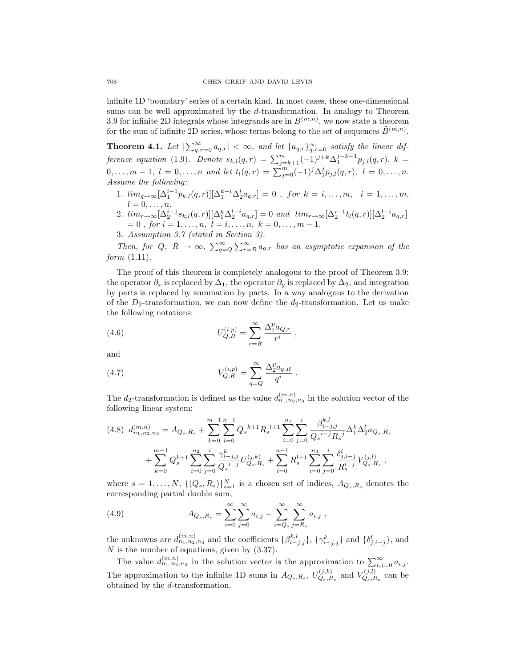infinite 1D 'boundary' series of a certain kind. In most cases, these one-dimensional sums can be well approximated by the *d*-transformation. In analogy to Theorem 3.9 for infinite 2D integrals whose integrands are in  $B^{(m,n)}$ , we now state a theorem for the sum of infinite 2D series, whose terms belong to the set of sequences  $\tilde{B}^{(m,n)}$ .

**Theorem 4.1.** Let  $|\sum_{q,r=0}^{\infty} a_{q,r}| < \infty$ , and let  $\{a_{q,r}\}_{q,r=0}^{\infty}$  satisfy the linear dif*ference equation* (1.9)*.* Denote  $s_{k,l}(q,r) = \sum_{j=k+1}^{m} (-1)^{j+k} \Delta_1^{j-k-1} p_{j,l}(q,r)$ ,  $k =$  $0, \ldots, m-1, l = 0, \ldots, n$  and let  $t_l(q,r) = \sum_{j=0}^m (-1)^j \Delta_1^j p_{j,l}(q,r), l = 0, \ldots, n.$ *Assume the following:*

- 1.  $\lim_{q \to \infty} [\Delta_1^{i-1} p_{k,l}(q,r)][\Delta_1^{k-i} \Delta_2^l a_{q,r}] = 0$ , for  $k = i, ..., m, i = 1, ..., m$ ,  $l = 0, \ldots, n$ .
- 2.  $\lim_{r \to \infty} \left[ \Delta_2^{i-1} s_{k,l}(q,r) \right] \left[ \Delta_1^k \Delta_2^{l-i} a_{q,r} \right] = 0$  and  $\lim_{r \to \infty} \left[ \Delta_2^{i-1} t_l(q,r) \right] \left[ \Delta_2^{l-i} a_{q,r} \right]$  $= 0$ , *for*  $i = 1, \ldots, n$ ,  $l = i, \ldots, n$ ,  $k = 0, \ldots, m - 1$ .
- 3. *Assumption 3.7 (stated in Section 3).*

*Then, for*  $Q$ ,  $R \rightarrow \infty$ ,  $\sum_{q=Q}^{\infty} \sum_{r=R}^{\infty} a_{q,r}$  *has an asymptotic expansion of the form* (1.11)*.*

The proof of this theorem is completely analogous to the proof of Theorem 3.9: the operator  $\partial_x$  is replaced by  $\Delta_1$ , the operator  $\partial_y$  is replaced by  $\Delta_2$ , and integration by parts is replaced by summation by parts. In a way analogous to the derivation of the *D*2-transformation, we can now define the *d*2-transformation. Let us make the following notations:

(4.6) 
$$
U_{Q,R}^{(i,p)} = \sum_{r=R}^{\infty} \frac{\Delta_1^p a_{Q,r}}{r^i} ,
$$

and

(4.7) 
$$
V_{Q,R}^{(i,p)} = \sum_{q=Q}^{\infty} \frac{\Delta_2^p a_{q,R}}{q^i} .
$$

The  $d_2$ -transformation is defined as the value  $d_{n_1,n_2,n_3}^{(m,n)}$  in the solution vector of the following linear system:

$$
(4.8) d_{n_1,n_2,n_3}^{(m,n)} = A_{Q_s,R_s} + \sum_{k=0}^{m-1} \sum_{l=0}^{n-1} Q_s^{k+1} R_s^{l+1} \sum_{i=0}^{n_1} \sum_{j=0}^i \frac{\beta_{i-j,j}^{k,l}}{Q_s^{i-j} R_s^{j}} \Delta_1^k \Delta_2^l a_{Q_s,R_s}
$$
  
+ 
$$
\sum_{k=0}^{m-1} Q_s^{k+1} \sum_{i=0}^{n_2} \sum_{j=0}^i \frac{\gamma_{i-j,j}^k}{Q_s^{i-j}} U_{Q_s,R_s}^{(j,k)} + \sum_{l=0}^{n-1} R_s^{l+1} \sum_{i=0}^{n_3} \sum_{j=0}^i \frac{\delta_{j,i-j}^l}{R_s^{i-j}} V_{Q_s,R_s}^{(j,l)},
$$

where  $s = 1, \ldots, N$ ,  $\{(Q_s, R_s)\}_{s=1}^N$  is a chosen set of indices,  $A_{Q_s, R_s}$  denotes the corresponding partial double sum,

(4.9) 
$$
A_{Q_s,R_s} = \sum_{i=0}^{\infty} \sum_{j=0}^{\infty} a_{i,j} - \sum_{i=Q_s}^{\infty} \sum_{j=R_s}^{\infty} a_{i,j} ,
$$

the unknowns are  $d_{n_1,n_2,n_3}^{(m,n)}$  and the coefficients  $\{\beta_{i-j,j}^{k,l}\}, \{\gamma_{i-j,j}^k\}$  and  $\{\delta_{j,i-j}^l\}$ , and *N* is the number of equations, given by (3.37).

The value  $d_{n_1,n_2,n_3}^{(m,n)}$  in the solution vector is the approximation to  $\sum_{i,j=0}^{\infty} a_{i,j}$ . The approximation to the infinite 1D sums in  $A_{Q_s,R_s}$ ,  $U_{Q_s,R_s}^{(j,k)}$  and  $V_{Q_s,R_s}^{(j,l)}$  can be obtained by the *d*-transformation.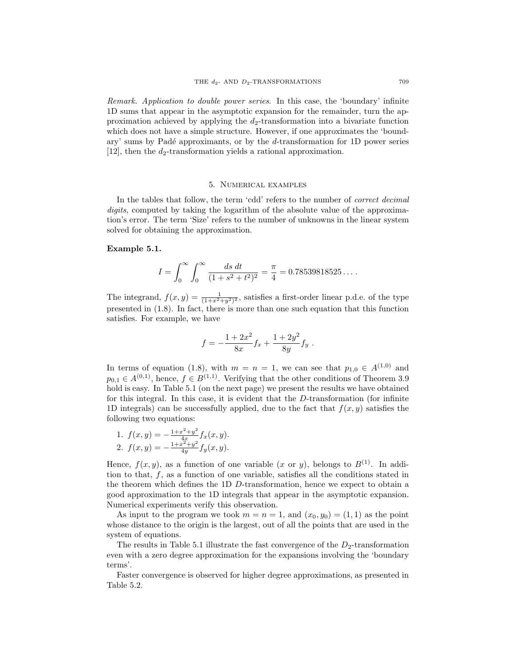*Remark. Application to double power series*. In this case, the 'boundary' infinite 1D sums that appear in the asymptotic expansion for the remainder, turn the approximation achieved by applying the *d*2-transformation into a bivariate function which does not have a simple structure. However, if one approximates the 'boundary' sums by Pad´e approximants, or by the *d*-transformation for 1D power series [12], then the  $d_2$ -transformation yields a rational approximation.

### 5. Numerical examples

In the tables that follow, the term 'cdd' refers to the number of *correct decimal digits*, computed by taking the logarithm of the absolute value of the approximation's error. The term 'Size' refers to the number of unknowns in the linear system solved for obtaining the approximation.

## **Example 5.1.**

$$
I = \int_0^\infty \int_0^\infty \frac{ds \ dt}{(1 + s^2 + t^2)^2} = \frac{\pi}{4} = 0.78539818525\dots.
$$

The integrand,  $f(x, y) = \frac{1}{(1+x^2+y^2)^2}$ , satisfies a first-order linear p.d.e. of the type presented in (1.8). In fact, there is more than one such equation that this function satisfies. For example, we have

$$
f = -\frac{1 + 2x^2}{8x} f_x + \frac{1 + 2y^2}{8y} f_y.
$$

In terms of equation (1.8), with  $m = n = 1$ , we can see that  $p_{1,0} \in A^{(1,0)}$  and  $p_{0,1} \in A^{(0,1)}$ , hence,  $f \in B^{(1,1)}$ . Verifying that the other conditions of Theorem 3.9 hold is easy. In Table 5.1 (on the next page) we present the results we have obtained for this integral. In this case, it is evident that the *D*-transformation (for infinite 1D integrals) can be successfully applied, due to the fact that *f*(*x, y*) satisfies the following two equations:

1. 
$$
f(x, y) = -\frac{1+x^2+y^2}{4x} f_x(x, y)
$$
.  
2.  $f(x, y) = -\frac{1+x^2+y^2}{4y} f_y(x, y)$ .

Hence,  $f(x, y)$ , as a function of one variable  $(x \text{ or } y)$ , belongs to  $B^{(1)}$ . In addition to that, *f*, as a function of one variable, satisfies all the conditions stated in the theorem which defines the 1D *D*-transformation, hence we expect to obtain a good approximation to the 1D integrals that appear in the asymptotic expansion. Numerical experiments verify this observation.

As input to the program we took  $m = n = 1$ , and  $(x_0, y_0) = (1, 1)$  as the point whose distance to the origin is the largest, out of all the points that are used in the system of equations.

The results in Table 5.1 illustrate the fast convergence of the  $D_2$ -transformation even with a zero degree approximation for the expansions involving the 'boundary terms'.

Faster convergence is observed for higher degree approximations, as presented in Table 5.2.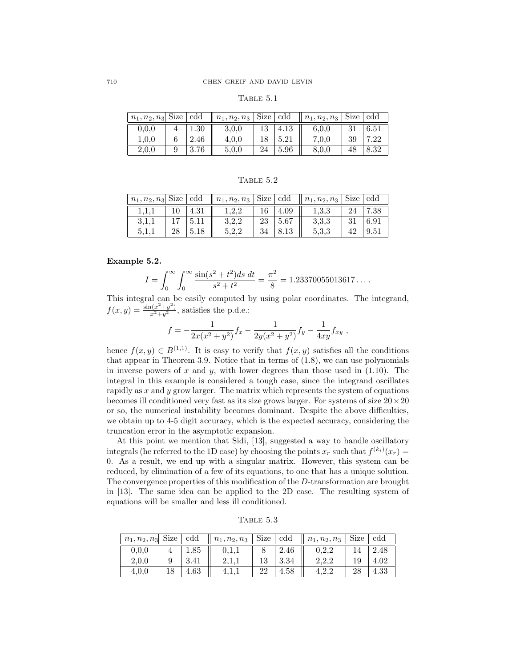| BLE<br>Δ. |  |
|-----------|--|
|           |  |

| $n_1, n_2, n_3$ Size   cdd |          | $n_1, n_2, n_3$ Size $\boxed{\text{cdd}}$ |    |      | $n_1, n_2, n_3$ Size |    | -cdd |
|----------------------------|----------|-------------------------------------------|----|------|----------------------|----|------|
| 0.0.0                      | $1.30\,$ | 3.0.0                                     |    | 4.13 | 6.0.0                |    | 6.51 |
| 1.0.0                      | 2.46     | 4,0,0                                     |    | 5.21 | 7.0.0                | 39 | 7.22 |
| 2,0,0                      | 3.76     | 5.0.0                                     | 24 | 5.96 | 8,0,0                |    | 8.32 |

TABLE  $5.2$ 

| $n_1, n_2, n_3$ Size   cdd |    |          | $\mid n_1, n_2, n_3 \mid$ Size $\mid$ cdd |    |      | $\mid n_1, n_2, n_3 \mid$ Size $\overline{\mid \text{cdd} \mid}$ |    |      |
|----------------------------|----|----------|-------------------------------------------|----|------|------------------------------------------------------------------|----|------|
|                            |    | $4.31\,$ | 1.2.2                                     |    | 4.09 | 1,3,3                                                            | 24 | 7.38 |
| 3.1.1                      |    |          | 3.2.2                                     | 23 | 5.67 | 3.3.3                                                            |    | 6.91 |
| 5.I.I                      | 28 |          | 5,2,2                                     |    |      | 5,3,3                                                            |    | 9.51 |

**Example 5.2.**

$$
I = \int_0^\infty \int_0^\infty \frac{\sin(s^2 + t^2)ds \, dt}{s^2 + t^2} = \frac{\pi^2}{8} = 1.23370055013617\dots
$$

This integral can be easily computed by using polar coordinates. The integrand,  $f(x,y) = \frac{\sin(x^2 + y^2)}{x^2 + y^2}$ , satisfies the p.d.e.:

$$
f = -\frac{1}{2x(x^2 + y^2)} f_x - \frac{1}{2y(x^2 + y^2)} f_y - \frac{1}{4xy} f_{xy} ,
$$

hence  $f(x, y) \in B^{(1,1)}$ . It is easy to verify that  $f(x, y)$  satisfies all the conditions that appear in Theorem 3.9. Notice that in terms of (1.8), we can use polynomials in inverse powers of *x* and *y*, with lower degrees than those used in (1.10). The integral in this example is considered a tough case, since the integrand oscillates rapidly as *x* and *y* grow larger. The matrix which represents the system of equations becomes ill conditioned very fast as its size grows larger. For systems of size 20*×*20 or so, the numerical instability becomes dominant. Despite the above difficulties, we obtain up to 4-5 digit accuracy, which is the expected accuracy, considering the truncation error in the asymptotic expansion.

At this point we mention that Sidi, [13], suggested a way to handle oscillatory integrals (he referred to the 1D case) by choosing the points  $x_r$  such that  $f^{(k_i)}(x_r) =$ 0. As a result, we end up with a singular matrix. However, this system can be reduced, by elimination of a few of its equations, to one that has a unique solution. The convergence properties of this modification of the *D*-transformation are brought in [13]. The same idea can be applied to the 2D case. The resulting system of equations will be smaller and less ill conditioned.

Table 5.3

| $n_1, n_2, n_3$ | Size | cdd  | $n_1, n_2, n_3$ | Size | cdd      | $n_1, n_2, n_3$ | Size | cdd      |
|-----------------|------|------|-----------------|------|----------|-----------------|------|----------|
| 0.0.0           |      |      | 0,1,1           |      | $2.46\,$ | $\rm 0.2.2$     |      | $2.48\,$ |
| 2,0,0           |      | 3.41 | 4,1,1           |      | J.J4     | 2,2,2           |      | $4.02\,$ |
| 4,0,0           |      | 4.63 |                 | 22   | $4.58\,$ |                 | 28   | $4.33\,$ |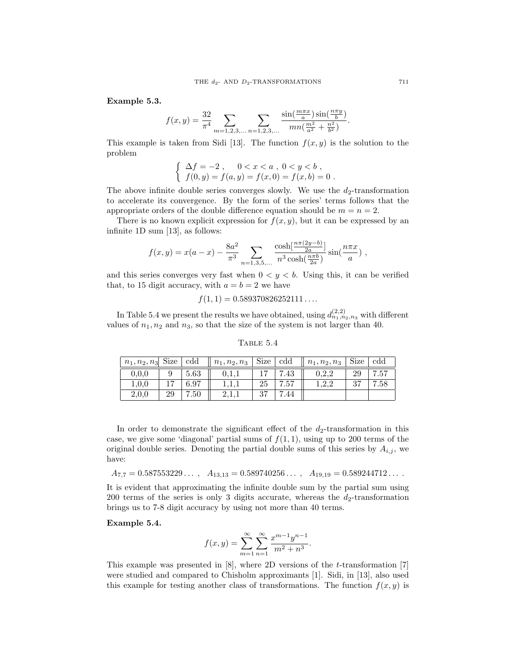**Example 5.3.**

$$
f(x,y) = \frac{32}{\pi^4} \sum_{m=1,2,3,\dots} \sum_{n=1,2,3,\dots} \frac{\sin(\frac{m\pi x}{a})\sin(\frac{n\pi y}{b})}{mn(\frac{m^2}{a^2} + \frac{n^2}{b^2})}.
$$

This example is taken from Sidi [13]. The function  $f(x, y)$  is the solution to the problem

$$
\begin{cases} \Delta f = -2 , & 0 < x < a , 0 < y < b ,\\ f(0, y) = f(a, y) = f(x, 0) = f(x, b) = 0 .\end{cases}
$$

The above infinite double series converges slowly. We use the  $d_2$ -transformation to accelerate its convergence. By the form of the series' terms follows that the appropriate orders of the double difference equation should be  $m = n = 2$ .

There is no known explicit expression for  $f(x, y)$ , but it can be expressed by an infinite 1D sum [13], as follows:

$$
f(x,y) = x(a-x) - \frac{8a^2}{\pi^3} \sum_{n=1,3,5,\dots} \frac{\cosh[\frac{n\pi(2y-b)}{2a}]}{n^3 \cosh(\frac{n\pi b}{2a})} \sin(\frac{n\pi x}{a}) ,
$$

and this series converges very fast when  $0 < y < b$ . Using this, it can be verified that, to 15 digit accuracy, with  $a = b = 2$  we have

$$
f(1,1) = 0.589370826252111\ldots
$$

In Table 5.4 we present the results we have obtained, using  $d_{n_1,n_2,n_3}^{(2,2)}$  with different values of  $n_1, n_2$  and  $n_3$ , so that the size of the system is not larger than 40.

Table 5.4

| $n_1, n_2, n_3$ Size   cdd |    |      | $\parallel n_1, n_2, n_3 \parallel$ Size $\boxed{\text{cdd}}$ |    |      | $n_1, n_2, n_3$ | Size | $\rm cdd$ |
|----------------------------|----|------|---------------------------------------------------------------|----|------|-----------------|------|-----------|
| 0.0.0                      |    | 5.63 | 0.1.1                                                         |    | .43  | 0.2.2           | 29   | 7.57      |
| 1,0,0                      |    | 6.97 | 1.1.1                                                         | 25 | 7.57 | .2.2            |      | $7.58\,$  |
| 2,0,0                      | 29 | 7.50 | 2,1,1                                                         | 27 | .44  |                 |      |           |

In order to demonstrate the significant effect of the  $d_2$ -transformation in this case, we give some 'diagonal' partial sums of  $f(1, 1)$ , using up to 200 terms of the original double series. Denoting the partial double sums of this series by  $A_{i,j}$ , we have:

 $A_{7,7} = 0.587553229...$ ,  $A_{13,13} = 0.589740256...$ ,  $A_{19,19} = 0.589244712...$ 

It is evident that approximating the infinite double sum by the partial sum using 200 terms of the series is only 3 digits accurate, whereas the  $d_2$ -transformation brings us to 7-8 digit accuracy by using not more than 40 terms.

**Example 5.4.**

$$
f(x,y) = \sum_{m=1}^{\infty} \sum_{n=1}^{\infty} \frac{x^{m-1}y^{n-1}}{m^2 + n^3}.
$$

This example was presented in [8], where 2D versions of the *t*-transformation [7] were studied and compared to Chisholm approximants [1]. Sidi, in [13], also used this example for testing another class of transformations. The function  $f(x, y)$  is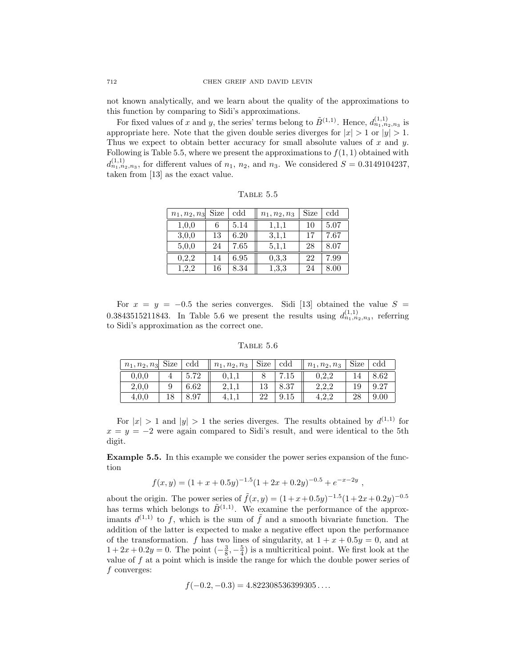not known analytically, and we learn about the quality of the approximations to this function by comparing to Sidi's approximations.

For fixed values of *x* and *y*, the series' terms belong to  $\tilde{B}^{(1,1)}$ . Hence,  $d_{n_1,n_2,n_3}^{(1,1)}$  is appropriate here. Note that the given double series diverges for  $|x| > 1$  or  $|y| > 1$ . Thus we expect to obtain better accuracy for small absolute values of *x* and *y*. Following is Table 5.5, where we present the approximations to  $f(1, 1)$  obtained with  $d_{n_1,n_2,n_3}^{(1,1)}$ , for different values of  $n_1, n_2$ , and  $n_3$ . We considered  $S = 0.3149104237$ , taken from [13] as the exact value.

| $n_1, n_2, n_3$ | Size | $\rm cdd$ | $n_1, n_2, n_3$ | Size | cdd  |
|-----------------|------|-----------|-----------------|------|------|
| 1,0,0           |      | 5.14      | 1,1,1           | 10   | 5.07 |
| 3,0,0           | 13   | 6.20      | 3,1,1           | 17   | 7.67 |
| 5,0,0           | 24   | 7.65      | 5,1,1           | 28   | 8.07 |
| 0,2,2           | 14   | 6.95      | 0,3,3           | 22   | 7.99 |
| 1,2,2           | 16   | 8.34      | 1,3,3           | 24   | 8.00 |

TABLE  $5.5$ 

For  $x = y = -0.5$  the series converges. Sidi [13] obtained the value  $S =$ 0.3843515211843. In Table 5.6 we present the results using  $d_{n_1,n_2,n_3}^{(1,1)}$ , referring to Sidi's approximation as the correct one.

Table 5.6

| $n_1, n_2, n_3$ | Size | $\rm{cdd}$ | $n_1, n_2, n_3$ | Size | $\rm cdd$    | $n_1, n_2, n_3$ | Size | $\rm{cdd}$ |
|-----------------|------|------------|-----------------|------|--------------|-----------------|------|------------|
| 0.0.0           |      | 5.72       | 0,1,1           |      | $^\prime.15$ | 0.2.2           |      | 8.62       |
| 2,0,0           |      | 6.62       | <b>⊥.⊥.⊥</b>    |      | 8.37         | 2,2,2           |      | 9.27       |
| 4.0.0           | 18   | 8.97       |                 | 22   | 9.15         | 4.2.2           |      | 9.00       |

For  $|x| > 1$  and  $|y| > 1$  the series diverges. The results obtained by  $d^{(1,1)}$  for  $x = y = -2$  were again compared to Sidi's result, and were identical to the 5th digit.

**Example 5.5.** In this example we consider the power series expansion of the function

$$
f(x,y) = (1 + x + 0.5y)^{-1.5}(1 + 2x + 0.2y)^{-0.5} + e^{-x - 2y},
$$

about the origin. The power series of  $\tilde{f}(x, y) = (1 + x + 0.5y)^{-1.5}(1 + 2x + 0.2y)^{-0.5}$ has terms which belongs to  $\tilde{B}^{(1,1)}$ . We examine the performance of the approximants  $d^{(1,1)}$  to f, which is the sum of  $\tilde{f}$  and a smooth bivariate function. The addition of the latter is expected to make a negative effect upon the performance of the transformation. *f* has two lines of singularity, at  $1 + x + 0.5y = 0$ , and at  $1+2x+0.2y=0$ . The point  $\left(-\frac{3}{8},-\frac{5}{4}\right)$  is a multicritical point. We first look at the value of *f* at a point which is inside the range for which the double power series of *f* converges:

$$
f(-0.2, -0.3) = 4.822308536399305...
$$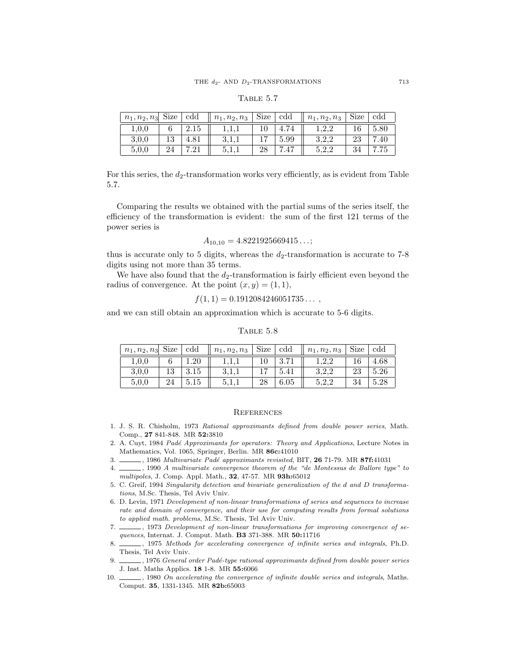## Table 5.7

| $n_1, n_2, n_3$ Size |     | cdd  | $n_1, n_2, n_3$ | Size | cdd  | $n_1, n_2, n_3$ | Size | cdd  |
|----------------------|-----|------|-----------------|------|------|-----------------|------|------|
| 1,0,0                |     | 2.15 |                 |      |      |                 |      | 5.80 |
| 3,0,0                | ⊥∪  |      | 3,1,1           |      | 5.99 | 3.2.2           | ∠⊾∪  | .40  |
| 5,0,0                | 47± |      | 1.1.d           |      |      | 5.2.2           |      |      |

For this series, the  $d_2$ -transformation works very efficiently, as is evident from Table 5.7.

Comparing the results we obtained with the partial sums of the series itself, the efficiency of the transformation is evident: the sum of the first 121 terms of the power series is

$$
A_{10,10} = 4.8221925669415\ldots;
$$

thus is accurate only to 5 digits, whereas the  $d_2$ -transformation is accurate to 7-8 digits using not more than 35 terms.

We have also found that the  $d_2$ -transformation is fairly efficient even beyond the radius of convergence. At the point  $(x, y) = (1, 1)$ ,

$$
f(1,1) = 0.1912084246051735...
$$

and we can still obtain an approximation which is accurate to 5-6 digits.

### Table 5.8

| $n_1, n_2, n_3$ Size $\vert \text{ c}\overline{\text{dd}} \vert$ |      | $n_1, n_2, n_3$ | Size | $\rm cdd$ | $n_1, n_2, n_3$ | . <sub>I</sub> Size I | $\rm cdd$ |
|------------------------------------------------------------------|------|-----------------|------|-----------|-----------------|-----------------------|-----------|
| 1,0,0                                                            |      | 1,1,1           |      | -3.71     |                 |                       | $4.68\,$  |
| 3.0.0                                                            | 3.15 | 3,1,1           |      | 5.41      | 3.2.2           | 23                    | 5.26      |
| 5.0.0                                                            | 5.15 | 5,1,1           | 28   | 6.05      | 5.2.2           |                       | 5.28      |

#### **REFERENCES**

- 1. J. S. R. Chisholm, 1973 Rational approximants defined from double power series, Math. Comp., **27** 841-848. MR **52:**3810
- 2. A. Cuyt, 1984 Padé Approximants for operators: Theory and Applications, Lecture Notes in Mathematics, Vol. 1065, Springer, Berlin. MR **86c:**41010
- 3. , 1986 Multivariate Pad´e approximants revisited, BIT, **26** 71-79. MR **87f:**41031
- 4. , 1990 A multivariate convergence theorem of the "de Montessus de Ballore type" to multipoles, J. Comp. Appl. Math., **32**, 47-57. MR **93h:**65012
- 5. C. Greif, 1994 Singularity detection and bivariate generalization of the *d* and *D* transformations, M.Sc. Thesis, Tel Aviv Univ.
- 6. D. Levin, 1971 Development of non-linear transformations of series and sequences to increase rate and domain of convergence, and their use for computing results from formal solutions to applied math. problems, M.Sc. Thesis, Tel Aviv Univ.
- 7.  $\frac{1}{12}$ , 1973 Development of non-linear transformations for improving convergence of sequences, Internat. J. Comput. Math. **B3** 371-388. MR **50:**11716
- 8.  $\_\_\_\$ , 1975 Methods for accelerating convergence of infinite series and integrals, Ph.D. Thesis, Tel Aviv Univ.
- 9.  $\_\_\_\$ 1976 General order Padé-type rational approximants defined from double power series J. Inst. Maths Applics. **18** 1-8. MR **55:**6066
- 10.  $\_\_\_\$ , 1980 On accelerating the convergence of infinite double series and integrals, Maths. Comput. **35**, 1331-1345. MR **82b:**65003